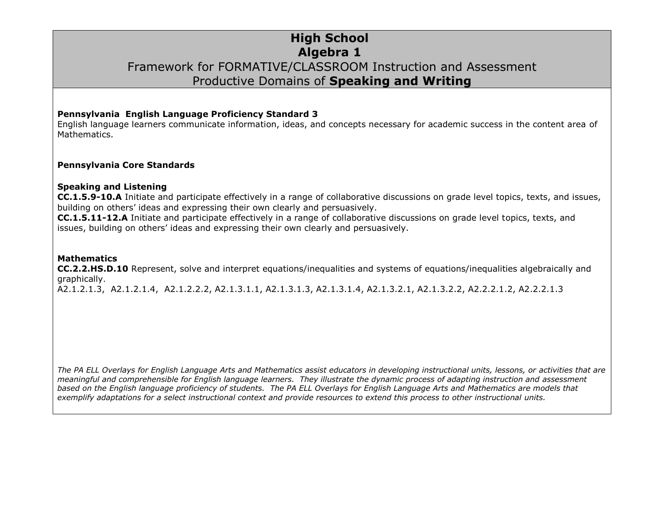### **High School Algebra 1** Framework for FORMATIVE/CLASSROOM Instruction and Assessment Productive Domains of **Speaking and Writing**

#### **Pennsylvania English Language Proficiency Standard 3**

English language learners communicate information, ideas, and concepts necessary for academic success in the content area of Mathematics.

#### **Pennsylvania Core Standards**

#### **Speaking and Listening**

**CC.1.5.9-10.A** Initiate and participate effectively in a range of collaborative discussions on grade level topics, texts, and issues, building on others' ideas and expressing their own clearly and persuasively.

**CC.1.5.11-12.A** Initiate and participate effectively in a range of collaborative discussions on grade level topics, texts, and issues, building on others' ideas and expressing their own clearly and persuasively.

#### **Mathematics**

**CC.2.2.HS.D.10** Represent, solve and interpret equations/inequalities and systems of equations/inequalities algebraically and graphically.

A2.1.2.1.3, A2.1.2.1.4, A2.1.2.2.2, A2.1.3.1.1, A2.1.3.1.3, A2.1.3.1.4, A2.1.3.2.1, A2.1.3.2.2, A2.2.2.1.2, A2.2.2.1.3

*The PA ELL Overlays for English Language Arts and Mathematics assist educators in developing instructional units, lessons, or activities that are meaningful and comprehensible for English language learners. They illustrate the dynamic process of adapting instruction and assessment based on the English language proficiency of students. The PA ELL Overlays for English Language Arts and Mathematics are models that exemplify adaptations for a select instructional context and provide resources to extend this process to other instructional units.*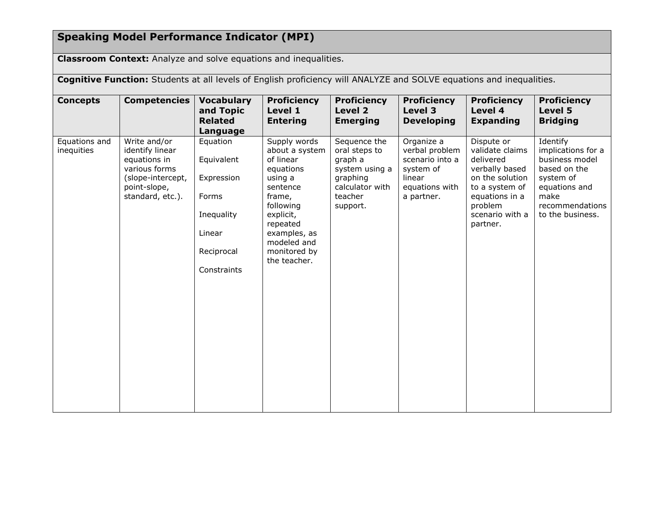# **Speaking Model Performance Indicator (MPI)**

**Classroom Context:** Analyze and solve equations and inequalities.

| Cognitive Function: Students at all levels of English proficiency will ANALYZE and SOLVE equations and inequalities. |                                                                                                                           |                                                                                                    |                                                                                                                                                                                                |                                                                                                                  |                                                                                                        |                                                                                                                                                               |                                                                                                                                               |  |
|----------------------------------------------------------------------------------------------------------------------|---------------------------------------------------------------------------------------------------------------------------|----------------------------------------------------------------------------------------------------|------------------------------------------------------------------------------------------------------------------------------------------------------------------------------------------------|------------------------------------------------------------------------------------------------------------------|--------------------------------------------------------------------------------------------------------|---------------------------------------------------------------------------------------------------------------------------------------------------------------|-----------------------------------------------------------------------------------------------------------------------------------------------|--|
| <b>Concepts</b>                                                                                                      | <b>Competencies</b>                                                                                                       | <b>Vocabulary</b><br>and Topic<br><b>Related</b><br>Language                                       | <b>Proficiency</b><br>Level 1<br><b>Entering</b>                                                                                                                                               | <b>Proficiency</b><br>Level 2<br><b>Emerging</b>                                                                 | <b>Proficiency</b><br>Level 3<br><b>Developing</b>                                                     | <b>Proficiency</b><br>Level 4<br><b>Expanding</b>                                                                                                             | <b>Proficiency</b><br>Level 5<br><b>Bridging</b>                                                                                              |  |
| Equations and<br>inequities                                                                                          | Write and/or<br>identify linear<br>equations in<br>various forms<br>(slope-intercept,<br>point-slope,<br>standard, etc.). | Equation<br>Equivalent<br>Expression<br>Forms<br>Inequality<br>Linear<br>Reciprocal<br>Constraints | Supply words<br>about a system<br>of linear<br>equations<br>using a<br>sentence<br>frame,<br>following<br>explicit,<br>repeated<br>examples, as<br>modeled and<br>monitored by<br>the teacher. | Sequence the<br>oral steps to<br>graph a<br>system using a<br>graphing<br>calculator with<br>teacher<br>support. | Organize a<br>verbal problem<br>scenario into a<br>system of<br>linear<br>equations with<br>a partner. | Dispute or<br>validate claims<br>delivered<br>verbally based<br>on the solution<br>to a system of<br>equations in a<br>problem<br>scenario with a<br>partner. | Identify<br>implications for a<br>business model<br>based on the<br>system of<br>equations and<br>make<br>recommendations<br>to the business. |  |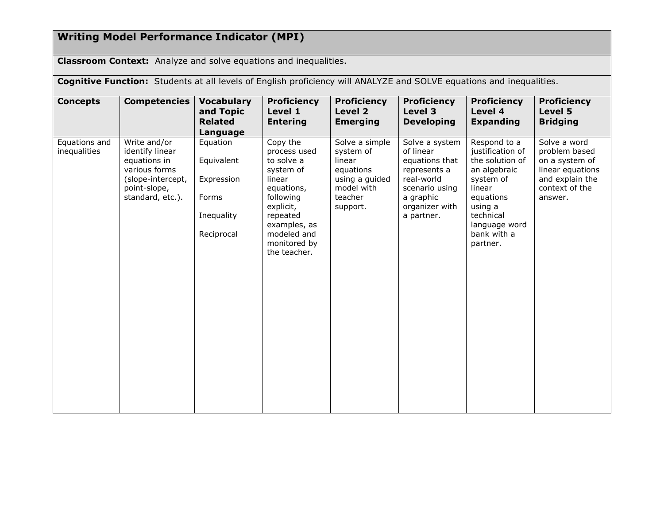## **Writing Model Performance Indicator (MPI)**

**Classroom Context:** Analyze and solve equations and inequalities.

**Cognitive Function:** Students at all levels of English proficiency will ANALYZE and SOLVE equations and inequalities.

| <b>Concepts</b>               | <b>Competencies</b>                                                                                                       | <b>Vocabulary</b><br>and Topic<br><b>Related</b><br>Language              | <b>Proficiency</b><br>Level 1<br><b>Entering</b>                                                                                                                                 | <b>Proficiency</b><br>Level 2<br><b>Emerging</b>                                                          | <b>Proficiency</b><br>Level 3<br><b>Developing</b>                                                                                         | <b>Proficiency</b><br>Level 4<br><b>Expanding</b>                                                                                                                           | <b>Proficiency</b><br>Level 5<br><b>Bridging</b>                                                                    |
|-------------------------------|---------------------------------------------------------------------------------------------------------------------------|---------------------------------------------------------------------------|----------------------------------------------------------------------------------------------------------------------------------------------------------------------------------|-----------------------------------------------------------------------------------------------------------|--------------------------------------------------------------------------------------------------------------------------------------------|-----------------------------------------------------------------------------------------------------------------------------------------------------------------------------|---------------------------------------------------------------------------------------------------------------------|
| Equations and<br>inequalities | Write and/or<br>identify linear<br>equations in<br>various forms<br>(slope-intercept,<br>point-slope,<br>standard, etc.). | Equation<br>Equivalent<br>Expression<br>Forms<br>Inequality<br>Reciprocal | Copy the<br>process used<br>to solve a<br>system of<br>linear<br>equations,<br>following<br>explicit,<br>repeated<br>examples, as<br>modeled and<br>monitored by<br>the teacher. | Solve a simple<br>system of<br>linear<br>equations<br>using a guided<br>model with<br>teacher<br>support. | Solve a system<br>of linear<br>equations that<br>represents a<br>real-world<br>scenario using<br>a graphic<br>organizer with<br>a partner. | Respond to a<br>justification of<br>the solution of<br>an algebraic<br>system of<br>linear<br>equations<br>using a<br>technical<br>language word<br>bank with a<br>partner. | Solve a word<br>problem based<br>on a system of<br>linear equations<br>and explain the<br>context of the<br>answer. |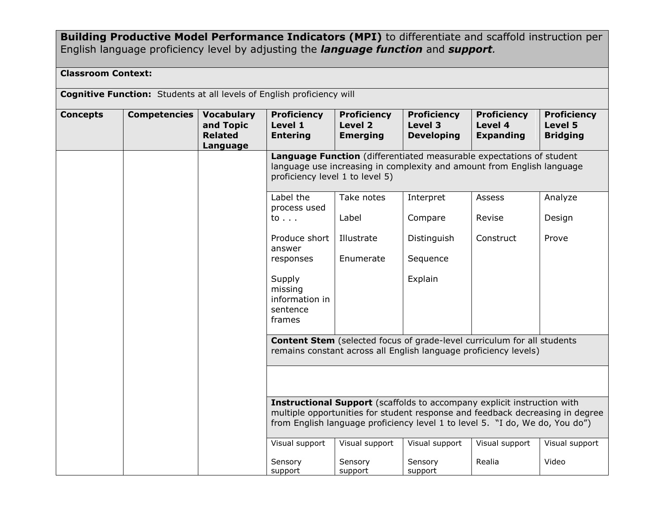**Building Productive Model Performance Indicators (MPI)** to differentiate and scaffold instruction per English language proficiency level by adjusting the *language function* and *support.*

### **Classroom Context:**

**Cognitive Function:** Students at all levels of English proficiency will

| <b>Concepts</b> | <b>Competencies</b> | <b>Vocabulary</b><br>and Topic<br><b>Related</b><br>Language | <b>Proficiency</b><br>Level 1<br><b>Entering</b>                                                                                                                                                                                         | <b>Proficiency</b><br>Level <sub>2</sub><br><b>Emerging</b> | <b>Proficiency</b><br>Level 3<br><b>Developing</b> | <b>Proficiency</b><br>Level 4<br><b>Expanding</b> | <b>Proficiency</b><br>Level 5<br><b>Bridging</b> |  |  |
|-----------------|---------------------|--------------------------------------------------------------|------------------------------------------------------------------------------------------------------------------------------------------------------------------------------------------------------------------------------------------|-------------------------------------------------------------|----------------------------------------------------|---------------------------------------------------|--------------------------------------------------|--|--|
|                 |                     |                                                              | Language Function (differentiated measurable expectations of student<br>language use increasing in complexity and amount from English language<br>proficiency level 1 to level 5)                                                        |                                                             |                                                    |                                                   |                                                  |  |  |
|                 |                     |                                                              | Label the<br>process used                                                                                                                                                                                                                | Take notes                                                  | Interpret                                          | Assess                                            | Analyze                                          |  |  |
|                 |                     |                                                              | to $\ldots$                                                                                                                                                                                                                              | Label                                                       | Compare                                            | Revise                                            | Design                                           |  |  |
|                 |                     |                                                              | Produce short<br>answer                                                                                                                                                                                                                  | Illustrate                                                  | Distinguish                                        | Construct                                         | Prove                                            |  |  |
|                 |                     |                                                              | responses                                                                                                                                                                                                                                | Enumerate                                                   | Sequence                                           |                                                   |                                                  |  |  |
|                 |                     |                                                              | Supply<br>missing<br>information in<br>sentence<br>frames                                                                                                                                                                                |                                                             | Explain                                            |                                                   |                                                  |  |  |
|                 |                     |                                                              | <b>Content Stem</b> (selected focus of grade-level curriculum for all students<br>remains constant across all English language proficiency levels)                                                                                       |                                                             |                                                    |                                                   |                                                  |  |  |
|                 |                     |                                                              |                                                                                                                                                                                                                                          |                                                             |                                                    |                                                   |                                                  |  |  |
|                 |                     |                                                              | Instructional Support (scaffolds to accompany explicit instruction with<br>multiple opportunities for student response and feedback decreasing in degree<br>from English language proficiency level 1 to level 5. "I do, We do, You do") |                                                             |                                                    |                                                   |                                                  |  |  |
|                 |                     |                                                              | Visual support                                                                                                                                                                                                                           | Visual support                                              | Visual support                                     | Visual support                                    | Visual support                                   |  |  |
|                 |                     |                                                              | Sensory<br>support                                                                                                                                                                                                                       | Sensory<br>support                                          | Sensory<br>support                                 | Realia                                            | Video                                            |  |  |